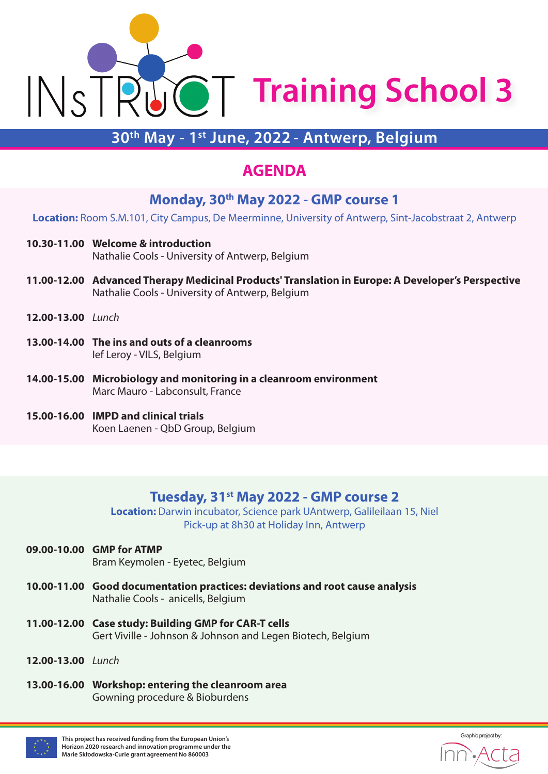

## **30th May - 1st June, 2022 - Antwerp, Belgium**

## **AGENDA**

### **Monday, 30th May 2022 - GMP course 1**

**Location:** Room S.M.101, City Campus, De Meerminne, University of Antwerp, Sint-Jacobstraat 2, Antwerp

- **10.30-11.00 Welcome & introduction** Nathalie Cools - University of Antwerp, Belgium
- **11.00-12.00 Advanced Therapy Medicinal Products' Translation in Europe: A Developer's Perspective** Nathalie Cools - University of Antwerp, Belgium
- **12.00-13.00** *Lunch*
- **13.00-14.00 The ins and outs of a cleanrooms** Ief Leroy - VILS, Belgium
- **14.00-15.00 Microbiology and monitoring in a cleanroom environment** Marc Mauro - Labconsult, France
- **15.00-16.00 IMPD and clinical trials** Koen Laenen - QbD Group, Belgium

### **Tuesday, 31st May 2022 - GMP course 2**

**Location:** Darwin incubator, Science park UAntwerp, Galileilaan 15, Niel Pick-up at 8h30 at Holiday Inn, Antwerp

- **09.00-10.00 GMP for ATMP** Bram Keymolen - Eyetec, Belgium
- **10.00-11.00 Good documentation practices: deviations and root cause analysis** Nathalie Cools - anicells, Belgium
- **11.00-12.00 Case study: Building GMP for CAR-T cells** Gert Viville - Johnson & Johnson and Legen Biotech, Belgium
- **12.00-13.00** *Lunch*
- **13.00-16.00 Workshop: entering the cleanroom area** Gowning procedure & Bioburdens